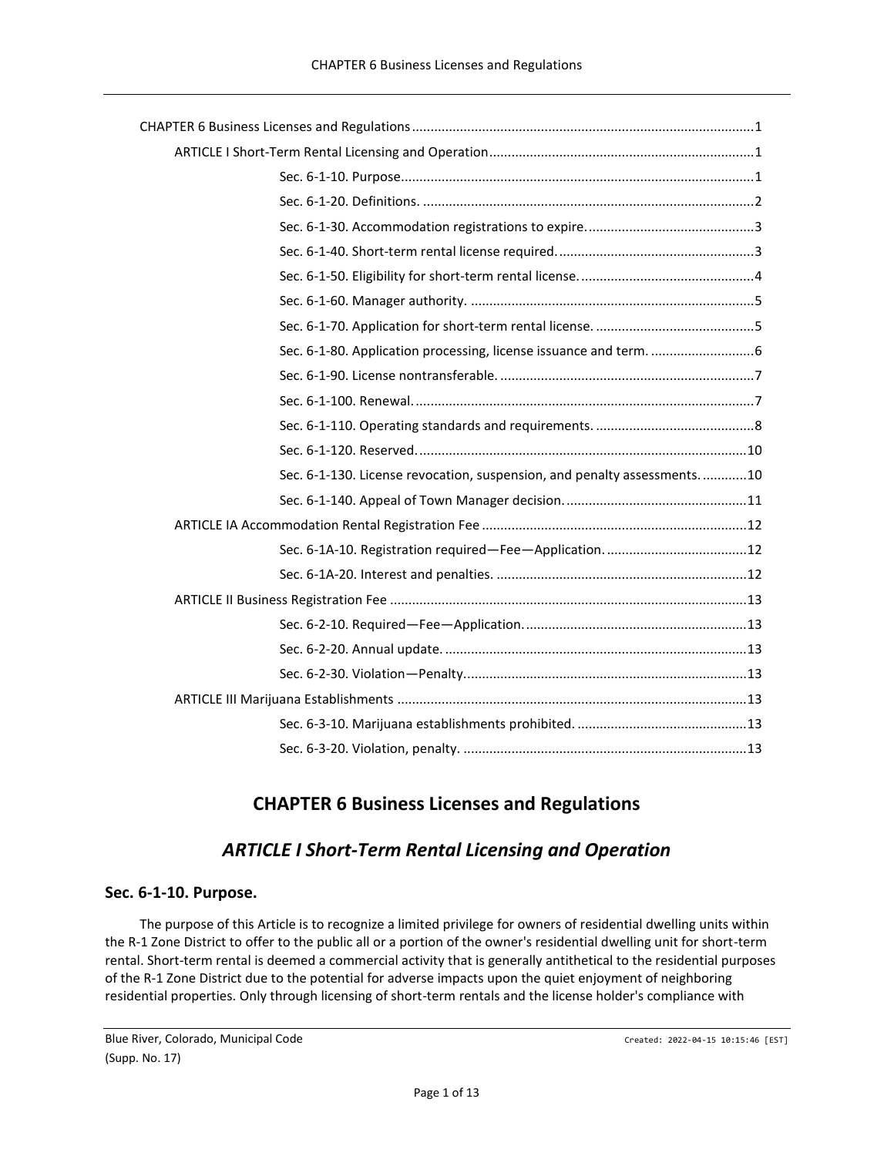| Sec. 6-1-130. License revocation, suspension, and penalty assessments10 |
|-------------------------------------------------------------------------|
|                                                                         |
|                                                                         |
|                                                                         |
|                                                                         |
|                                                                         |
|                                                                         |
|                                                                         |
|                                                                         |
|                                                                         |
|                                                                         |
|                                                                         |

# **CHAPTER 6 Business Licenses and Regulations**

# *ARTICLE I Short-Term Rental Licensing and Operation*

## <span id="page-0-2"></span><span id="page-0-1"></span><span id="page-0-0"></span>**Sec. 6-1-10. Purpose.**

The purpose of this Article is to recognize a limited privilege for owners of residential dwelling units within the R-1 Zone District to offer to the public all or a portion of the owner's residential dwelling unit for short-term rental. Short-term rental is deemed a commercial activity that is generally antithetical to the residential purposes of the R-1 Zone District due to the potential for adverse impacts upon the quiet enjoyment of neighboring residential properties. Only through licensing of short-term rentals and the license holder's compliance with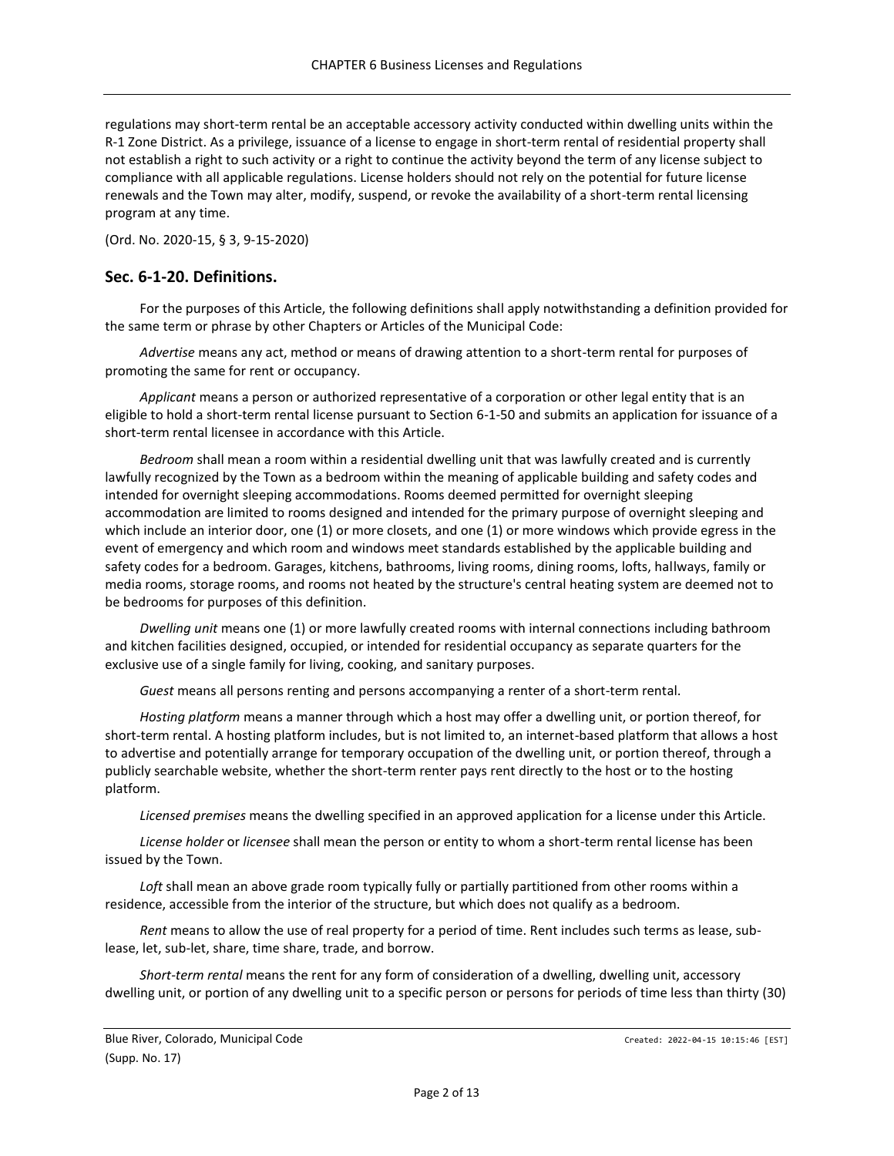regulations may short-term rental be an acceptable accessory activity conducted within dwelling units within the R-1 Zone District. As a privilege, issuance of a license to engage in short-term rental of residential property shall not establish a right to such activity or a right to continue the activity beyond the term of any license subject to compliance with all applicable regulations. License holders should not rely on the potential for future license renewals and the Town may alter, modify, suspend, or revoke the availability of a short-term rental licensing program at any time.

(Ord. No. 2020-15, § 3, 9-15-2020)

### <span id="page-1-0"></span>**Sec. 6-1-20. Definitions.**

For the purposes of this Article, the following definitions shall apply notwithstanding a definition provided for the same term or phrase by other Chapters or Articles of the Municipal Code:

*Advertise* means any act, method or means of drawing attention to a short-term rental for purposes of promoting the same for rent or occupancy.

*Applicant* means a person or authorized representative of a corporation or other legal entity that is an eligible to hold a short-term rental license pursuant to Section 6-1-50 and submits an application for issuance of a short-term rental licensee in accordance with this Article.

*Bedroom* shall mean a room within a residential dwelling unit that was lawfully created and is currently lawfully recognized by the Town as a bedroom within the meaning of applicable building and safety codes and intended for overnight sleeping accommodations. Rooms deemed permitted for overnight sleeping accommodation are limited to rooms designed and intended for the primary purpose of overnight sleeping and which include an interior door, one (1) or more closets, and one (1) or more windows which provide egress in the event of emergency and which room and windows meet standards established by the applicable building and safety codes for a bedroom. Garages, kitchens, bathrooms, living rooms, dining rooms, lofts, hallways, family or media rooms, storage rooms, and rooms not heated by the structure's central heating system are deemed not to be bedrooms for purposes of this definition.

*Dwelling unit* means one (1) or more lawfully created rooms with internal connections including bathroom and kitchen facilities designed, occupied, or intended for residential occupancy as separate quarters for the exclusive use of a single family for living, cooking, and sanitary purposes.

*Guest* means all persons renting and persons accompanying a renter of a short-term rental.

*Hosting platform* means a manner through which a host may offer a dwelling unit, or portion thereof, for short-term rental. A hosting platform includes, but is not limited to, an internet-based platform that allows a host to advertise and potentially arrange for temporary occupation of the dwelling unit, or portion thereof, through a publicly searchable website, whether the short-term renter pays rent directly to the host or to the hosting platform.

*Licensed premises* means the dwelling specified in an approved application for a license under this Article.

*License holder* or *licensee* shall mean the person or entity to whom a short-term rental license has been issued by the Town.

*Loft* shall mean an above grade room typically fully or partially partitioned from other rooms within a residence, accessible from the interior of the structure, but which does not qualify as a bedroom.

*Rent* means to allow the use of real property for a period of time. Rent includes such terms as lease, sublease, let, sub-let, share, time share, trade, and borrow.

*Short-term rental* means the rent for any form of consideration of a dwelling, dwelling unit, accessory dwelling unit, or portion of any dwelling unit to a specific person or persons for periods of time less than thirty (30)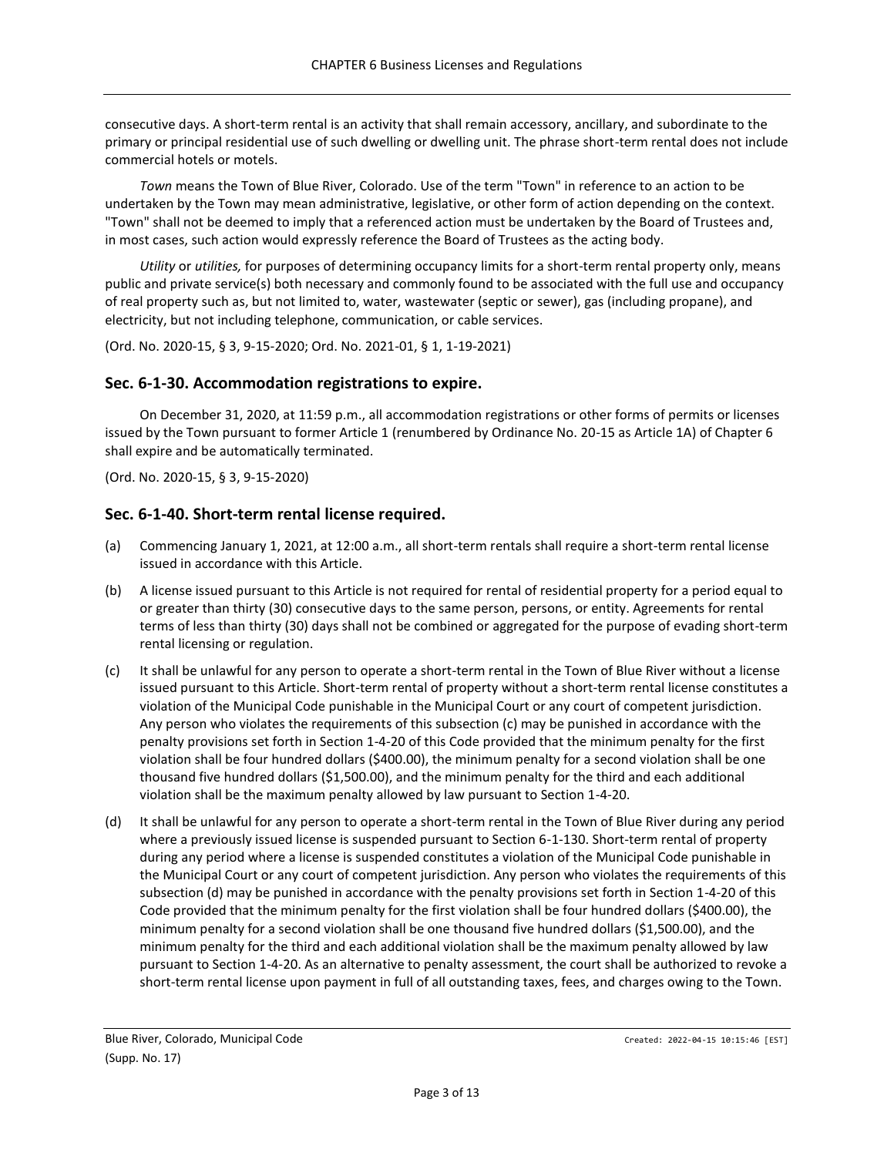consecutive days. A short-term rental is an activity that shall remain accessory, ancillary, and subordinate to the primary or principal residential use of such dwelling or dwelling unit. The phrase short-term rental does not include commercial hotels or motels.

*Town* means the Town of Blue River, Colorado. Use of the term "Town" in reference to an action to be undertaken by the Town may mean administrative, legislative, or other form of action depending on the context. "Town" shall not be deemed to imply that a referenced action must be undertaken by the Board of Trustees and, in most cases, such action would expressly reference the Board of Trustees as the acting body.

*Utility* or *utilities,* for purposes of determining occupancy limits for a short-term rental property only, means public and private service(s) both necessary and commonly found to be associated with the full use and occupancy of real property such as, but not limited to, water, wastewater (septic or sewer), gas (including propane), and electricity, but not including telephone, communication, or cable services.

(Ord. No. 2020-15, § 3, 9-15-2020; Ord. No. 2021-01, § 1, 1-19-2021)

## <span id="page-2-0"></span>**Sec. 6-1-30. Accommodation registrations to expire.**

On December 31, 2020, at 11:59 p.m., all accommodation registrations or other forms of permits or licenses issued by the Town pursuant to former Article 1 (renumbered by Ordinance No. 20-15 as Article 1A) of Chapter 6 shall expire and be automatically terminated.

(Ord. No. 2020-15, § 3, 9-15-2020)

### <span id="page-2-1"></span>**Sec. 6-1-40. Short-term rental license required.**

- (a) Commencing January 1, 2021, at 12:00 a.m., all short-term rentals shall require a short-term rental license issued in accordance with this Article.
- (b) A license issued pursuant to this Article is not required for rental of residential property for a period equal to or greater than thirty (30) consecutive days to the same person, persons, or entity. Agreements for rental terms of less than thirty (30) days shall not be combined or aggregated for the purpose of evading short-term rental licensing or regulation.
- (c) It shall be unlawful for any person to operate a short-term rental in the Town of Blue River without a license issued pursuant to this Article. Short-term rental of property without a short-term rental license constitutes a violation of the Municipal Code punishable in the Municipal Court or any court of competent jurisdiction. Any person who violates the requirements of this subsection (c) may be punished in accordance with the penalty provisions set forth in Section 1-4-20 of this Code provided that the minimum penalty for the first violation shall be four hundred dollars (\$400.00), the minimum penalty for a second violation shall be one thousand five hundred dollars (\$1,500.00), and the minimum penalty for the third and each additional violation shall be the maximum penalty allowed by law pursuant to Section 1-4-20.
- (d) It shall be unlawful for any person to operate a short-term rental in the Town of Blue River during any period where a previously issued license is suspended pursuant to Section 6-1-130. Short-term rental of property during any period where a license is suspended constitutes a violation of the Municipal Code punishable in the Municipal Court or any court of competent jurisdiction. Any person who violates the requirements of this subsection (d) may be punished in accordance with the penalty provisions set forth in Section 1-4-20 of this Code provided that the minimum penalty for the first violation shall be four hundred dollars (\$400.00), the minimum penalty for a second violation shall be one thousand five hundred dollars (\$1,500.00), and the minimum penalty for the third and each additional violation shall be the maximum penalty allowed by law pursuant to Section 1-4-20. As an alternative to penalty assessment, the court shall be authorized to revoke a short-term rental license upon payment in full of all outstanding taxes, fees, and charges owing to the Town.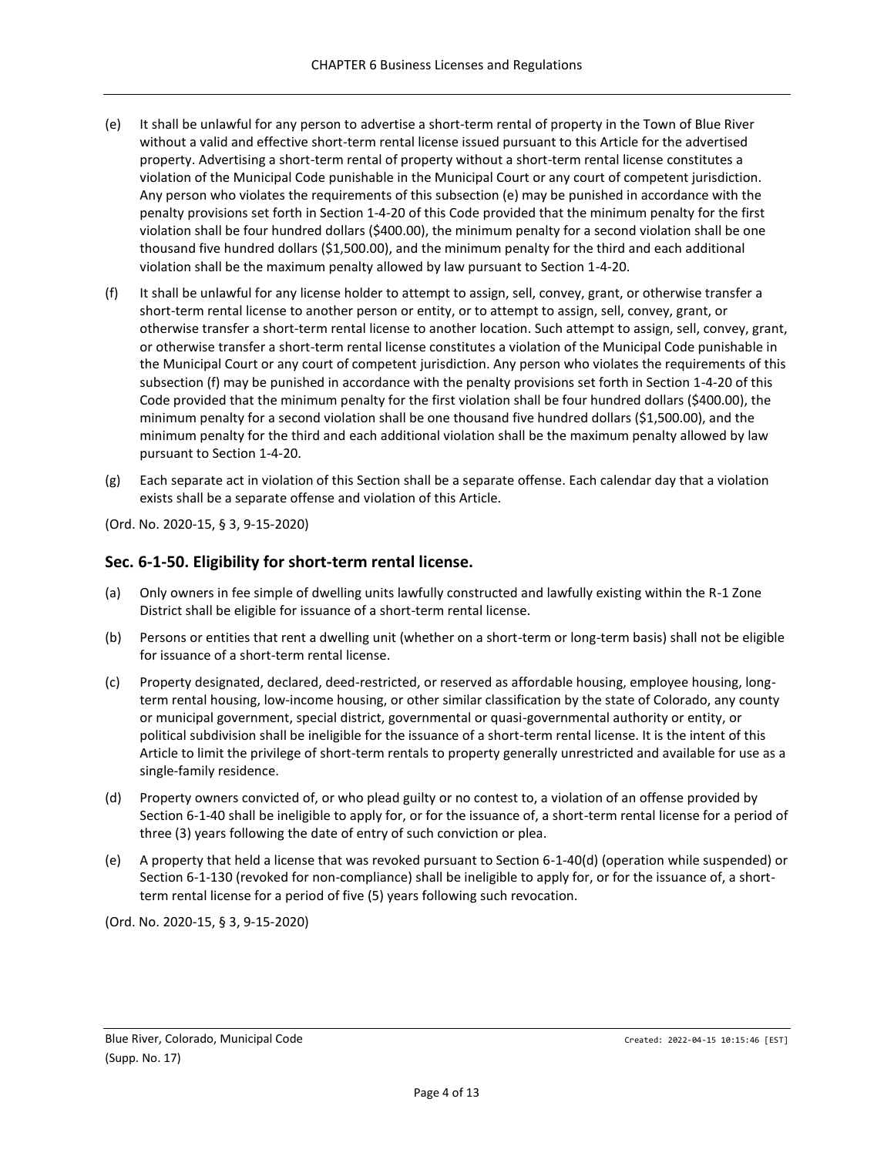- (e) It shall be unlawful for any person to advertise a short-term rental of property in the Town of Blue River without a valid and effective short-term rental license issued pursuant to this Article for the advertised property. Advertising a short-term rental of property without a short-term rental license constitutes a violation of the Municipal Code punishable in the Municipal Court or any court of competent jurisdiction. Any person who violates the requirements of this subsection (e) may be punished in accordance with the penalty provisions set forth in Section 1-4-20 of this Code provided that the minimum penalty for the first violation shall be four hundred dollars (\$400.00), the minimum penalty for a second violation shall be one thousand five hundred dollars (\$1,500.00), and the minimum penalty for the third and each additional violation shall be the maximum penalty allowed by law pursuant to Section 1-4-20.
- (f) It shall be unlawful for any license holder to attempt to assign, sell, convey, grant, or otherwise transfer a short-term rental license to another person or entity, or to attempt to assign, sell, convey, grant, or otherwise transfer a short-term rental license to another location. Such attempt to assign, sell, convey, grant, or otherwise transfer a short-term rental license constitutes a violation of the Municipal Code punishable in the Municipal Court or any court of competent jurisdiction. Any person who violates the requirements of this subsection (f) may be punished in accordance with the penalty provisions set forth in Section 1-4-20 of this Code provided that the minimum penalty for the first violation shall be four hundred dollars (\$400.00), the minimum penalty for a second violation shall be one thousand five hundred dollars (\$1,500.00), and the minimum penalty for the third and each additional violation shall be the maximum penalty allowed by law pursuant to Section 1-4-20.
- (g) Each separate act in violation of this Section shall be a separate offense. Each calendar day that a violation exists shall be a separate offense and violation of this Article.

(Ord. No. 2020-15, § 3, 9-15-2020)

### <span id="page-3-0"></span>**Sec. 6-1-50. Eligibility for short-term rental license.**

- (a) Only owners in fee simple of dwelling units lawfully constructed and lawfully existing within the R-1 Zone District shall be eligible for issuance of a short-term rental license.
- (b) Persons or entities that rent a dwelling unit (whether on a short-term or long-term basis) shall not be eligible for issuance of a short-term rental license.
- (c) Property designated, declared, deed-restricted, or reserved as affordable housing, employee housing, longterm rental housing, low-income housing, or other similar classification by the state of Colorado, any county or municipal government, special district, governmental or quasi-governmental authority or entity, or political subdivision shall be ineligible for the issuance of a short-term rental license. It is the intent of this Article to limit the privilege of short-term rentals to property generally unrestricted and available for use as a single-family residence.
- (d) Property owners convicted of, or who plead guilty or no contest to, a violation of an offense provided by Section 6-1-40 shall be ineligible to apply for, or for the issuance of, a short-term rental license for a period of three (3) years following the date of entry of such conviction or plea.
- (e) A property that held a license that was revoked pursuant to Section 6-1-40(d) (operation while suspended) or Section 6-1-130 (revoked for non-compliance) shall be ineligible to apply for, or for the issuance of, a shortterm rental license for a period of five (5) years following such revocation.

(Ord. No. 2020-15, § 3, 9-15-2020)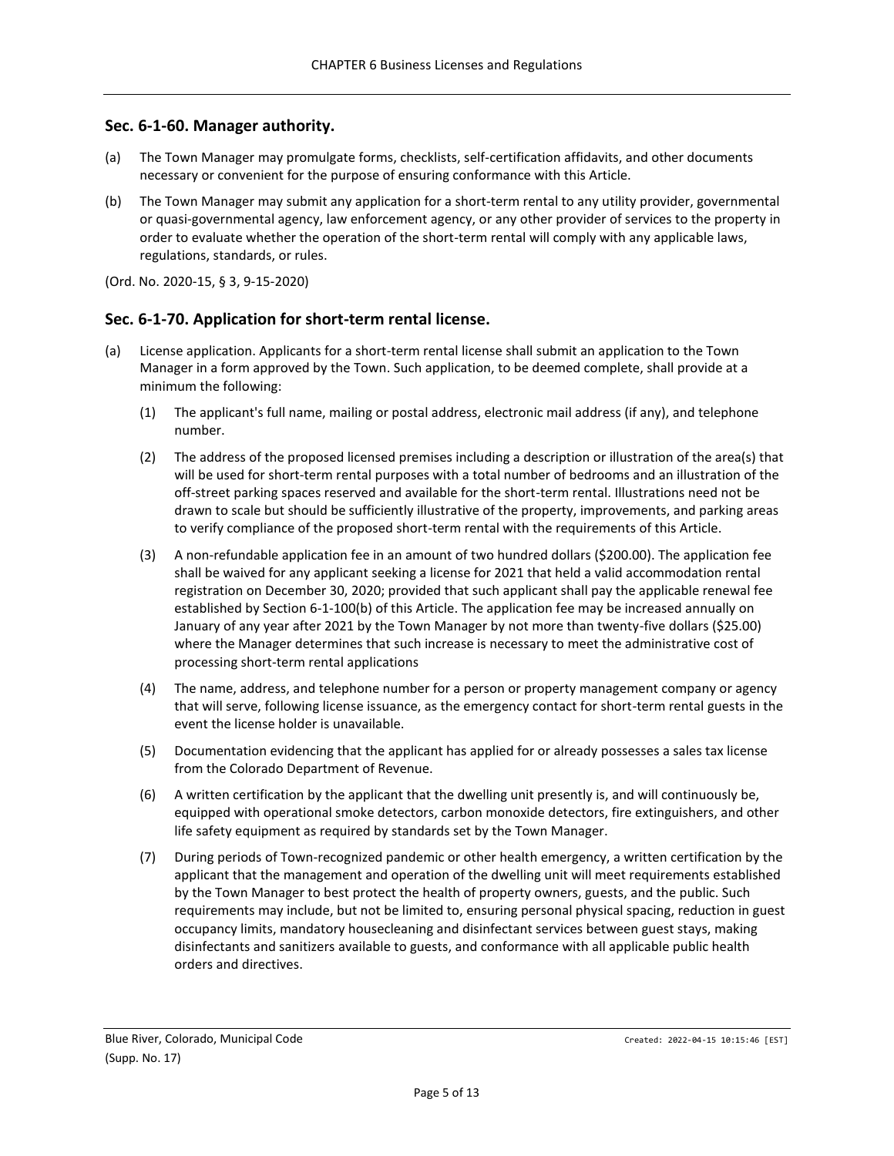### <span id="page-4-0"></span>**Sec. 6-1-60. Manager authority.**

- (a) The Town Manager may promulgate forms, checklists, self-certification affidavits, and other documents necessary or convenient for the purpose of ensuring conformance with this Article.
- (b) The Town Manager may submit any application for a short-term rental to any utility provider, governmental or quasi-governmental agency, law enforcement agency, or any other provider of services to the property in order to evaluate whether the operation of the short-term rental will comply with any applicable laws, regulations, standards, or rules.
- (Ord. No. 2020-15, § 3, 9-15-2020)

### <span id="page-4-1"></span>**Sec. 6-1-70. Application for short-term rental license.**

- (a) License application. Applicants for a short-term rental license shall submit an application to the Town Manager in a form approved by the Town. Such application, to be deemed complete, shall provide at a minimum the following:
	- (1) The applicant's full name, mailing or postal address, electronic mail address (if any), and telephone number.
	- (2) The address of the proposed licensed premises including a description or illustration of the area(s) that will be used for short-term rental purposes with a total number of bedrooms and an illustration of the off-street parking spaces reserved and available for the short-term rental. Illustrations need not be drawn to scale but should be sufficiently illustrative of the property, improvements, and parking areas to verify compliance of the proposed short-term rental with the requirements of this Article.
	- (3) A non-refundable application fee in an amount of two hundred dollars (\$200.00). The application fee shall be waived for any applicant seeking a license for 2021 that held a valid accommodation rental registration on December 30, 2020; provided that such applicant shall pay the applicable renewal fee established by Section 6-1-100(b) of this Article. The application fee may be increased annually on January of any year after 2021 by the Town Manager by not more than twenty-five dollars (\$25.00) where the Manager determines that such increase is necessary to meet the administrative cost of processing short-term rental applications
	- (4) The name, address, and telephone number for a person or property management company or agency that will serve, following license issuance, as the emergency contact for short-term rental guests in the event the license holder is unavailable.
	- (5) Documentation evidencing that the applicant has applied for or already possesses a sales tax license from the Colorado Department of Revenue.
	- (6) A written certification by the applicant that the dwelling unit presently is, and will continuously be, equipped with operational smoke detectors, carbon monoxide detectors, fire extinguishers, and other life safety equipment as required by standards set by the Town Manager.
	- (7) During periods of Town-recognized pandemic or other health emergency, a written certification by the applicant that the management and operation of the dwelling unit will meet requirements established by the Town Manager to best protect the health of property owners, guests, and the public. Such requirements may include, but not be limited to, ensuring personal physical spacing, reduction in guest occupancy limits, mandatory housecleaning and disinfectant services between guest stays, making disinfectants and sanitizers available to guests, and conformance with all applicable public health orders and directives.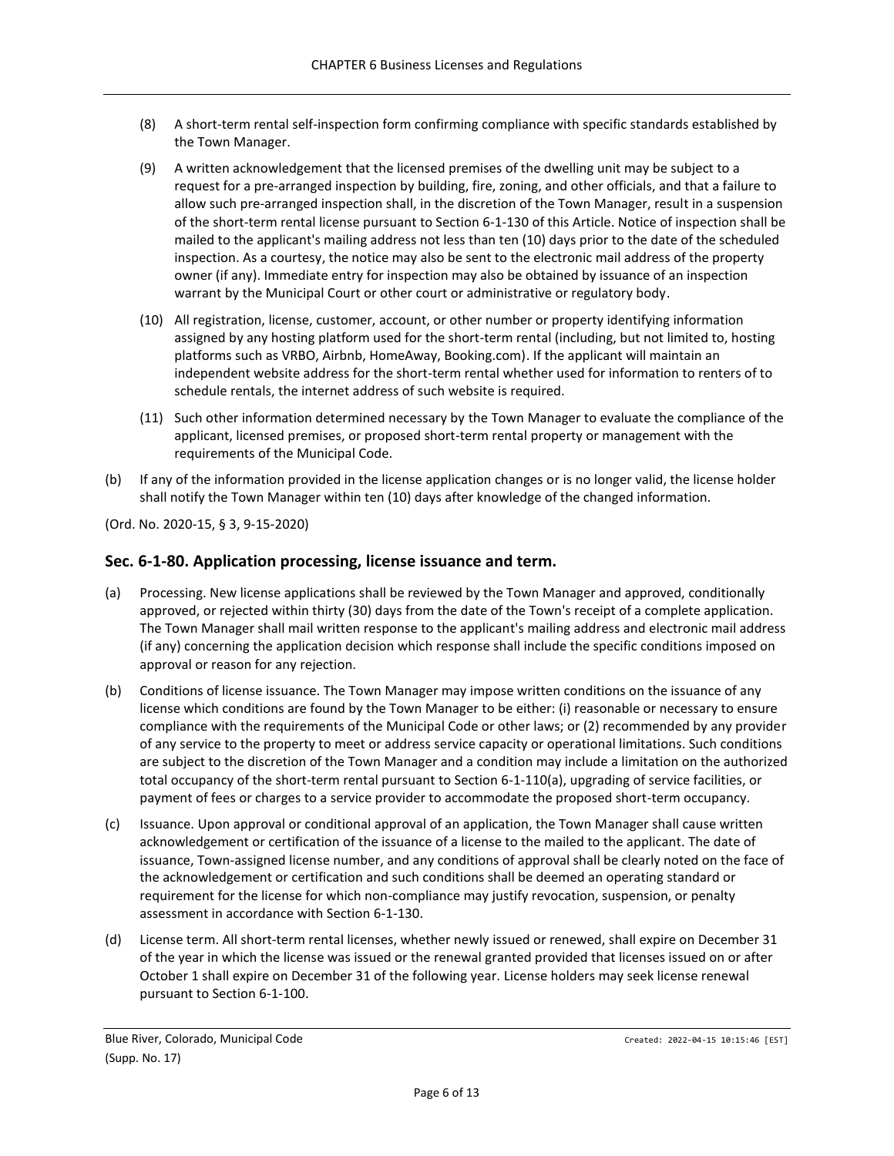- (8) A short-term rental self-inspection form confirming compliance with specific standards established by the Town Manager.
- (9) A written acknowledgement that the licensed premises of the dwelling unit may be subject to a request for a pre-arranged inspection by building, fire, zoning, and other officials, and that a failure to allow such pre-arranged inspection shall, in the discretion of the Town Manager, result in a suspension of the short-term rental license pursuant to Section 6-1-130 of this Article. Notice of inspection shall be mailed to the applicant's mailing address not less than ten (10) days prior to the date of the scheduled inspection. As a courtesy, the notice may also be sent to the electronic mail address of the property owner (if any). Immediate entry for inspection may also be obtained by issuance of an inspection warrant by the Municipal Court or other court or administrative or regulatory body.
- (10) All registration, license, customer, account, or other number or property identifying information assigned by any hosting platform used for the short-term rental (including, but not limited to, hosting platforms such as VRBO, Airbnb, HomeAway, Booking.com). If the applicant will maintain an independent website address for the short-term rental whether used for information to renters of to schedule rentals, the internet address of such website is required.
- (11) Such other information determined necessary by the Town Manager to evaluate the compliance of the applicant, licensed premises, or proposed short-term rental property or management with the requirements of the Municipal Code.
- (b) If any of the information provided in the license application changes or is no longer valid, the license holder shall notify the Town Manager within ten (10) days after knowledge of the changed information.

(Ord. No. 2020-15, § 3, 9-15-2020)

### <span id="page-5-0"></span>**Sec. 6-1-80. Application processing, license issuance and term.**

- (a) Processing. New license applications shall be reviewed by the Town Manager and approved, conditionally approved, or rejected within thirty (30) days from the date of the Town's receipt of a complete application. The Town Manager shall mail written response to the applicant's mailing address and electronic mail address (if any) concerning the application decision which response shall include the specific conditions imposed on approval or reason for any rejection.
- (b) Conditions of license issuance. The Town Manager may impose written conditions on the issuance of any license which conditions are found by the Town Manager to be either: (i) reasonable or necessary to ensure compliance with the requirements of the Municipal Code or other laws; or (2) recommended by any provider of any service to the property to meet or address service capacity or operational limitations. Such conditions are subject to the discretion of the Town Manager and a condition may include a limitation on the authorized total occupancy of the short-term rental pursuant to Section 6-1-110(a), upgrading of service facilities, or payment of fees or charges to a service provider to accommodate the proposed short-term occupancy.
- (c) Issuance. Upon approval or conditional approval of an application, the Town Manager shall cause written acknowledgement or certification of the issuance of a license to the mailed to the applicant. The date of issuance, Town-assigned license number, and any conditions of approval shall be clearly noted on the face of the acknowledgement or certification and such conditions shall be deemed an operating standard or requirement for the license for which non-compliance may justify revocation, suspension, or penalty assessment in accordance with Section 6-1-130.
- (d) License term. All short-term rental licenses, whether newly issued or renewed, shall expire on December 31 of the year in which the license was issued or the renewal granted provided that licenses issued on or after October 1 shall expire on December 31 of the following year. License holders may seek license renewal pursuant to Section 6-1-100.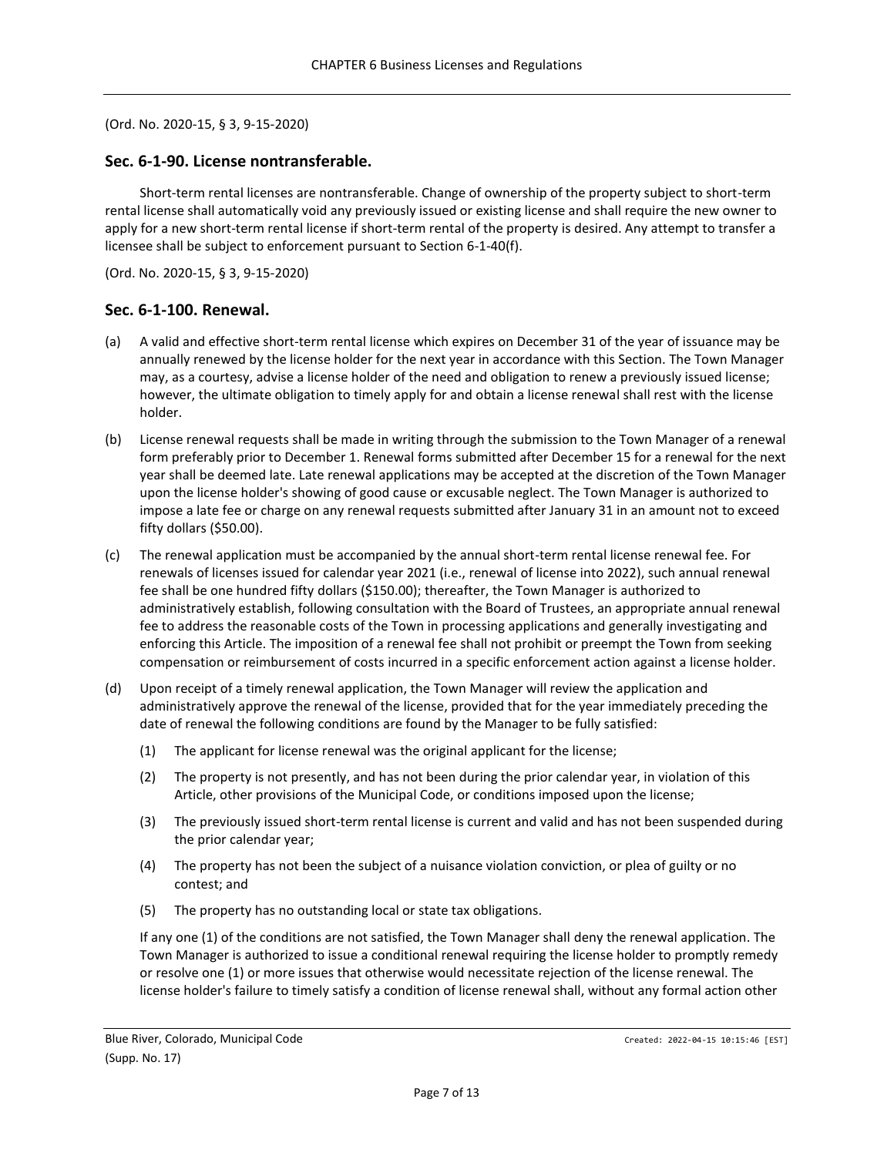#### (Ord. No. 2020-15, § 3, 9-15-2020)

#### <span id="page-6-0"></span>**Sec. 6-1-90. License nontransferable.**

Short-term rental licenses are nontransferable. Change of ownership of the property subject to short-term rental license shall automatically void any previously issued or existing license and shall require the new owner to apply for a new short-term rental license if short-term rental of the property is desired. Any attempt to transfer a licensee shall be subject to enforcement pursuant to Section 6-1-40(f).

(Ord. No. 2020-15, § 3, 9-15-2020)

#### <span id="page-6-1"></span>**Sec. 6-1-100. Renewal.**

- (a) A valid and effective short-term rental license which expires on December 31 of the year of issuance may be annually renewed by the license holder for the next year in accordance with this Section. The Town Manager may, as a courtesy, advise a license holder of the need and obligation to renew a previously issued license; however, the ultimate obligation to timely apply for and obtain a license renewal shall rest with the license holder.
- (b) License renewal requests shall be made in writing through the submission to the Town Manager of a renewal form preferably prior to December 1. Renewal forms submitted after December 15 for a renewal for the next year shall be deemed late. Late renewal applications may be accepted at the discretion of the Town Manager upon the license holder's showing of good cause or excusable neglect. The Town Manager is authorized to impose a late fee or charge on any renewal requests submitted after January 31 in an amount not to exceed fifty dollars (\$50.00).
- (c) The renewal application must be accompanied by the annual short-term rental license renewal fee. For renewals of licenses issued for calendar year 2021 (i.e., renewal of license into 2022), such annual renewal fee shall be one hundred fifty dollars (\$150.00); thereafter, the Town Manager is authorized to administratively establish, following consultation with the Board of Trustees, an appropriate annual renewal fee to address the reasonable costs of the Town in processing applications and generally investigating and enforcing this Article. The imposition of a renewal fee shall not prohibit or preempt the Town from seeking compensation or reimbursement of costs incurred in a specific enforcement action against a license holder.
- (d) Upon receipt of a timely renewal application, the Town Manager will review the application and administratively approve the renewal of the license, provided that for the year immediately preceding the date of renewal the following conditions are found by the Manager to be fully satisfied:
	- (1) The applicant for license renewal was the original applicant for the license;
	- (2) The property is not presently, and has not been during the prior calendar year, in violation of this Article, other provisions of the Municipal Code, or conditions imposed upon the license;
	- (3) The previously issued short-term rental license is current and valid and has not been suspended during the prior calendar year;
	- (4) The property has not been the subject of a nuisance violation conviction, or plea of guilty or no contest; and
	- (5) The property has no outstanding local or state tax obligations.

If any one (1) of the conditions are not satisfied, the Town Manager shall deny the renewal application. The Town Manager is authorized to issue a conditional renewal requiring the license holder to promptly remedy or resolve one (1) or more issues that otherwise would necessitate rejection of the license renewal. The license holder's failure to timely satisfy a condition of license renewal shall, without any formal action other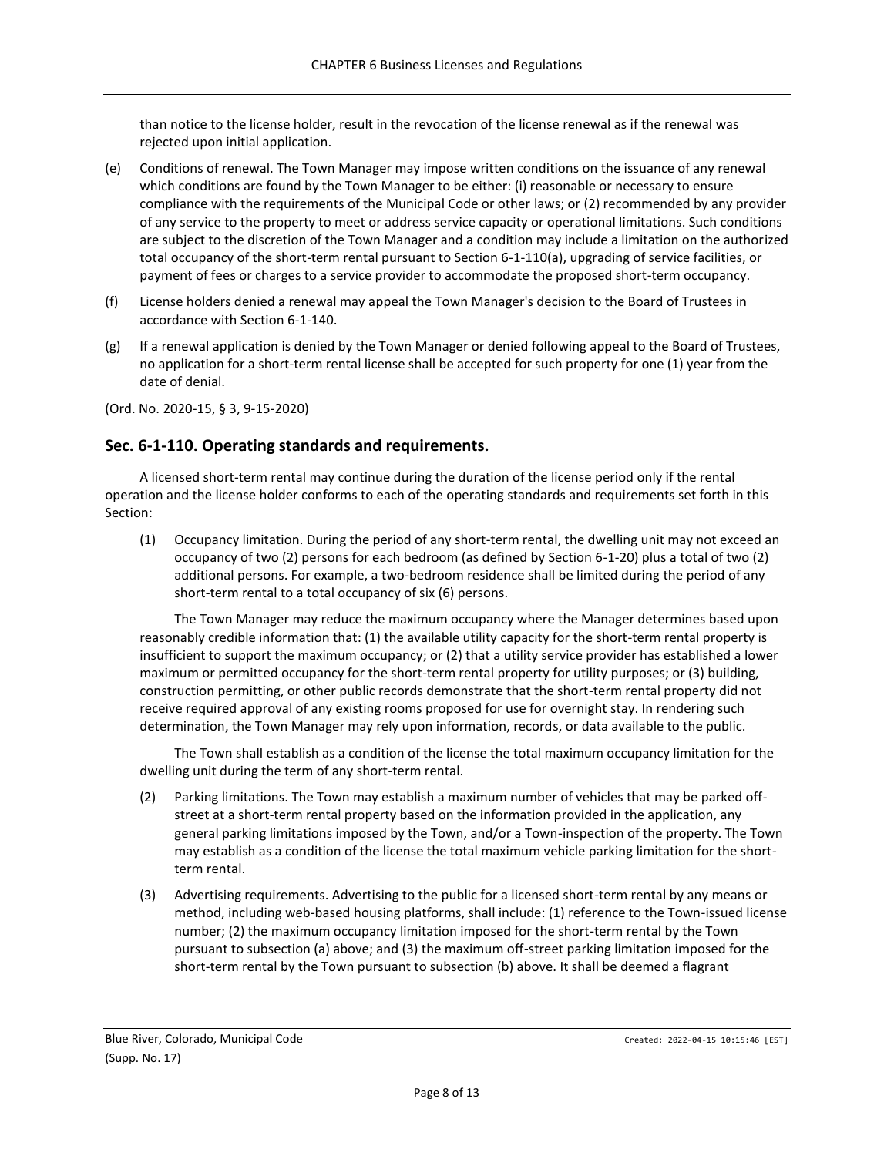than notice to the license holder, result in the revocation of the license renewal as if the renewal was rejected upon initial application.

- (e) Conditions of renewal. The Town Manager may impose written conditions on the issuance of any renewal which conditions are found by the Town Manager to be either: (i) reasonable or necessary to ensure compliance with the requirements of the Municipal Code or other laws; or (2) recommended by any provider of any service to the property to meet or address service capacity or operational limitations. Such conditions are subject to the discretion of the Town Manager and a condition may include a limitation on the authorized total occupancy of the short-term rental pursuant to Section 6-1-110(a), upgrading of service facilities, or payment of fees or charges to a service provider to accommodate the proposed short-term occupancy.
- (f) License holders denied a renewal may appeal the Town Manager's decision to the Board of Trustees in accordance with Section 6-1-140.
- (g) If a renewal application is denied by the Town Manager or denied following appeal to the Board of Trustees, no application for a short-term rental license shall be accepted for such property for one (1) year from the date of denial.

(Ord. No. 2020-15, § 3, 9-15-2020)

### <span id="page-7-0"></span>**Sec. 6-1-110. Operating standards and requirements.**

A licensed short-term rental may continue during the duration of the license period only if the rental operation and the license holder conforms to each of the operating standards and requirements set forth in this Section:

(1) Occupancy limitation. During the period of any short-term rental, the dwelling unit may not exceed an occupancy of two (2) persons for each bedroom (as defined by Section 6-1-20) plus a total of two (2) additional persons. For example, a two-bedroom residence shall be limited during the period of any short-term rental to a total occupancy of six (6) persons.

The Town Manager may reduce the maximum occupancy where the Manager determines based upon reasonably credible information that: (1) the available utility capacity for the short-term rental property is insufficient to support the maximum occupancy; or (2) that a utility service provider has established a lower maximum or permitted occupancy for the short-term rental property for utility purposes; or (3) building, construction permitting, or other public records demonstrate that the short-term rental property did not receive required approval of any existing rooms proposed for use for overnight stay. In rendering such determination, the Town Manager may rely upon information, records, or data available to the public.

The Town shall establish as a condition of the license the total maximum occupancy limitation for the dwelling unit during the term of any short-term rental.

- (2) Parking limitations. The Town may establish a maximum number of vehicles that may be parked offstreet at a short-term rental property based on the information provided in the application, any general parking limitations imposed by the Town, and/or a Town-inspection of the property. The Town may establish as a condition of the license the total maximum vehicle parking limitation for the shortterm rental.
- (3) Advertising requirements. Advertising to the public for a licensed short-term rental by any means or method, including web-based housing platforms, shall include: (1) reference to the Town-issued license number; (2) the maximum occupancy limitation imposed for the short-term rental by the Town pursuant to subsection (a) above; and (3) the maximum off-street parking limitation imposed for the short-term rental by the Town pursuant to subsection (b) above. It shall be deemed a flagrant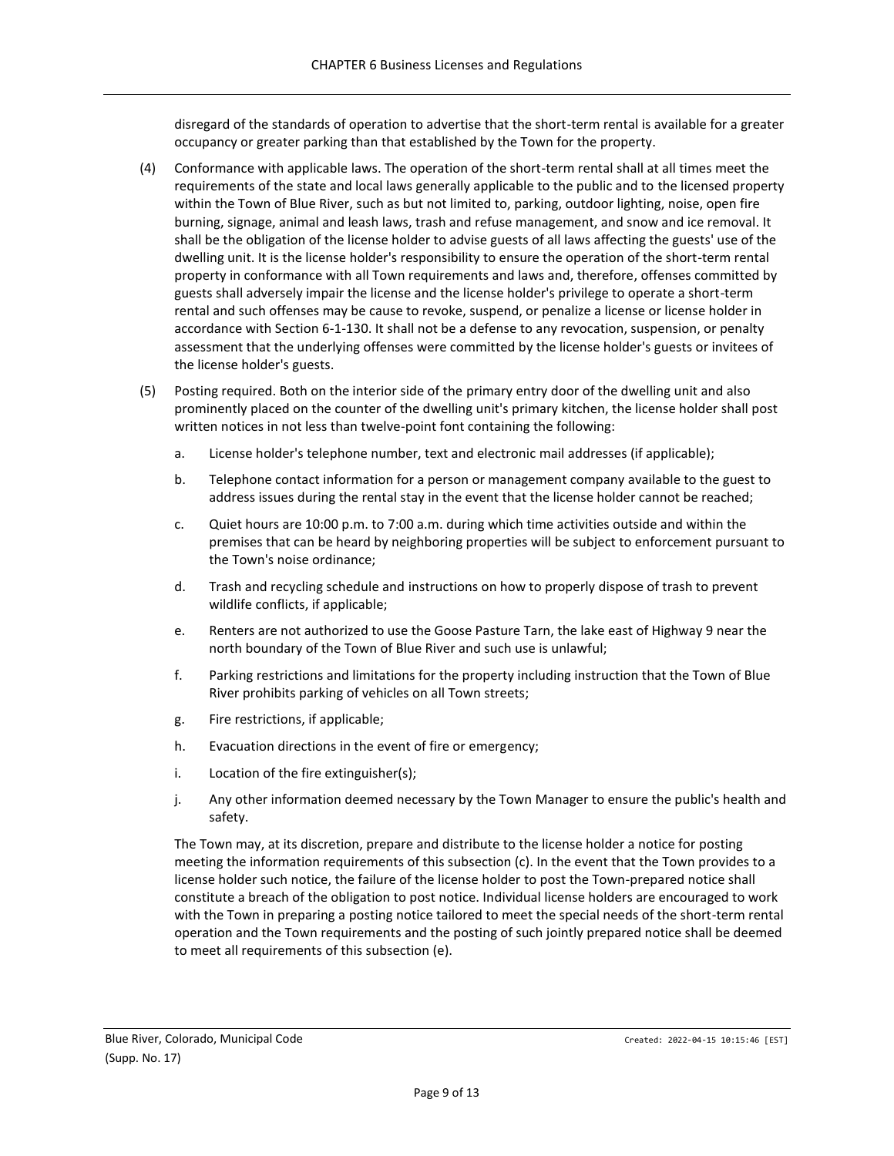disregard of the standards of operation to advertise that the short-term rental is available for a greater occupancy or greater parking than that established by the Town for the property.

- (4) Conformance with applicable laws. The operation of the short-term rental shall at all times meet the requirements of the state and local laws generally applicable to the public and to the licensed property within the Town of Blue River, such as but not limited to, parking, outdoor lighting, noise, open fire burning, signage, animal and leash laws, trash and refuse management, and snow and ice removal. It shall be the obligation of the license holder to advise guests of all laws affecting the guests' use of the dwelling unit. It is the license holder's responsibility to ensure the operation of the short-term rental property in conformance with all Town requirements and laws and, therefore, offenses committed by guests shall adversely impair the license and the license holder's privilege to operate a short-term rental and such offenses may be cause to revoke, suspend, or penalize a license or license holder in accordance with Section 6-1-130. It shall not be a defense to any revocation, suspension, or penalty assessment that the underlying offenses were committed by the license holder's guests or invitees of the license holder's guests.
- (5) Posting required. Both on the interior side of the primary entry door of the dwelling unit and also prominently placed on the counter of the dwelling unit's primary kitchen, the license holder shall post written notices in not less than twelve-point font containing the following:
	- a. License holder's telephone number, text and electronic mail addresses (if applicable);
	- b. Telephone contact information for a person or management company available to the guest to address issues during the rental stay in the event that the license holder cannot be reached;
	- c. Quiet hours are 10:00 p.m. to 7:00 a.m. during which time activities outside and within the premises that can be heard by neighboring properties will be subject to enforcement pursuant to the Town's noise ordinance;
	- d. Trash and recycling schedule and instructions on how to properly dispose of trash to prevent wildlife conflicts, if applicable;
	- e. Renters are not authorized to use the Goose Pasture Tarn, the lake east of Highway 9 near the north boundary of the Town of Blue River and such use is unlawful;
	- f. Parking restrictions and limitations for the property including instruction that the Town of Blue River prohibits parking of vehicles on all Town streets;
	- g. Fire restrictions, if applicable;
	- h. Evacuation directions in the event of fire or emergency;
	- i. Location of the fire extinguisher(s);
	- j. Any other information deemed necessary by the Town Manager to ensure the public's health and safety.

The Town may, at its discretion, prepare and distribute to the license holder a notice for posting meeting the information requirements of this subsection (c). In the event that the Town provides to a license holder such notice, the failure of the license holder to post the Town-prepared notice shall constitute a breach of the obligation to post notice. Individual license holders are encouraged to work with the Town in preparing a posting notice tailored to meet the special needs of the short-term rental operation and the Town requirements and the posting of such jointly prepared notice shall be deemed to meet all requirements of this subsection (e).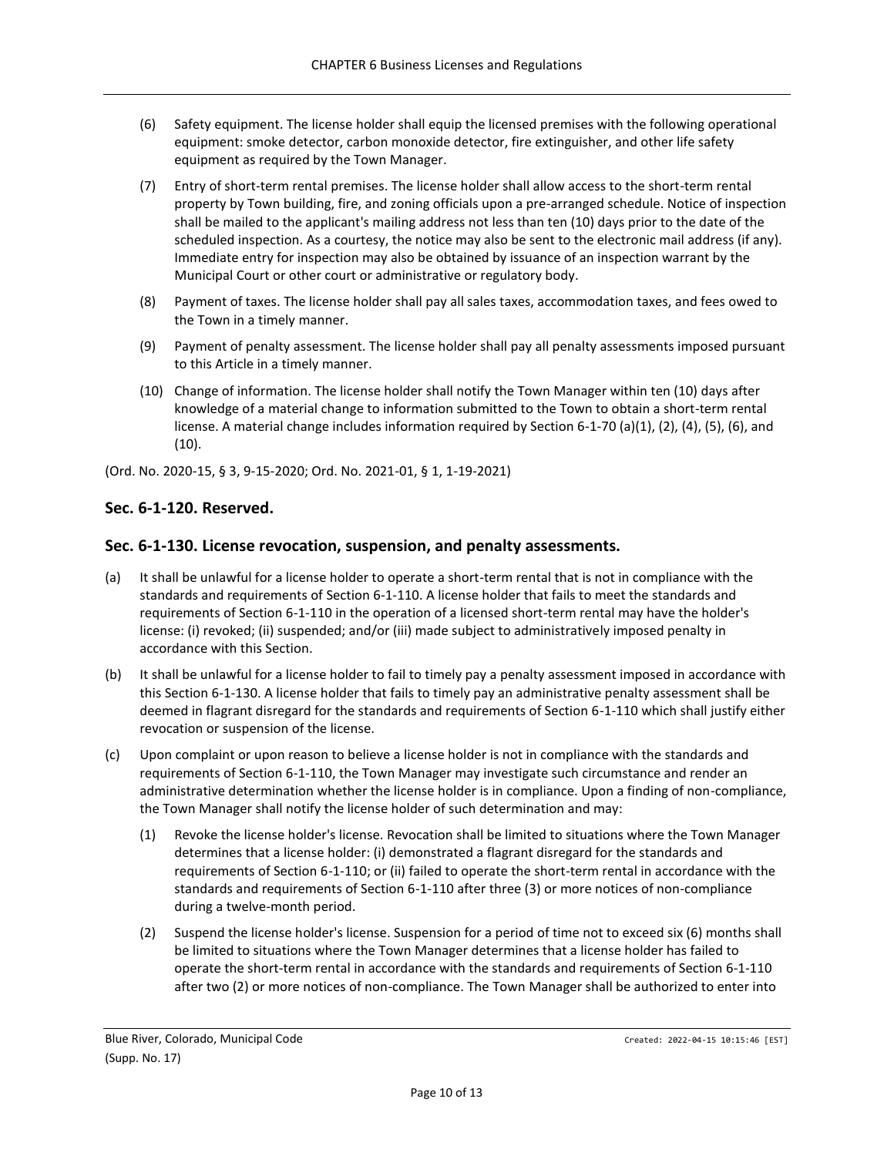- (6) Safety equipment. The license holder shall equip the licensed premises with the following operational equipment: smoke detector, carbon monoxide detector, fire extinguisher, and other life safety equipment as required by the Town Manager.
- (7) Entry of short-term rental premises. The license holder shall allow access to the short-term rental property by Town building, fire, and zoning officials upon a pre-arranged schedule. Notice of inspection shall be mailed to the applicant's mailing address not less than ten (10) days prior to the date of the scheduled inspection. As a courtesy, the notice may also be sent to the electronic mail address (if any). Immediate entry for inspection may also be obtained by issuance of an inspection warrant by the Municipal Court or other court or administrative or regulatory body.
- (8) Payment of taxes. The license holder shall pay all sales taxes, accommodation taxes, and fees owed to the Town in a timely manner.
- (9) Payment of penalty assessment. The license holder shall pay all penalty assessments imposed pursuant to this Article in a timely manner.
- (10) Change of information. The license holder shall notify the Town Manager within ten (10) days after knowledge of a material change to information submitted to the Town to obtain a short-term rental license. A material change includes information required by Section 6-1-70 (a)(1), (2), (4), (5), (6), and (10).

(Ord. No. 2020-15, § 3, 9-15-2020; Ord. No. 2021-01, § 1, 1-19-2021)

### <span id="page-9-0"></span>**Sec. 6-1-120. Reserved.**

#### <span id="page-9-1"></span>**Sec. 6-1-130. License revocation, suspension, and penalty assessments.**

- (a) It shall be unlawful for a license holder to operate a short-term rental that is not in compliance with the standards and requirements of Section 6-1-110. A license holder that fails to meet the standards and requirements of Section 6-1-110 in the operation of a licensed short-term rental may have the holder's license: (i) revoked; (ii) suspended; and/or (iii) made subject to administratively imposed penalty in accordance with this Section.
- (b) It shall be unlawful for a license holder to fail to timely pay a penalty assessment imposed in accordance with this Section 6-1-130. A license holder that fails to timely pay an administrative penalty assessment shall be deemed in flagrant disregard for the standards and requirements of Section 6-1-110 which shall justify either revocation or suspension of the license.
- (c) Upon complaint or upon reason to believe a license holder is not in compliance with the standards and requirements of Section 6-1-110, the Town Manager may investigate such circumstance and render an administrative determination whether the license holder is in compliance. Upon a finding of non-compliance, the Town Manager shall notify the license holder of such determination and may:
	- (1) Revoke the license holder's license. Revocation shall be limited to situations where the Town Manager determines that a license holder: (i) demonstrated a flagrant disregard for the standards and requirements of Section 6-1-110; or (ii) failed to operate the short-term rental in accordance with the standards and requirements of Section 6-1-110 after three (3) or more notices of non-compliance during a twelve-month period.
	- (2) Suspend the license holder's license. Suspension for a period of time not to exceed six (6) months shall be limited to situations where the Town Manager determines that a license holder has failed to operate the short-term rental in accordance with the standards and requirements of Section 6-1-110 after two (2) or more notices of non-compliance. The Town Manager shall be authorized to enter into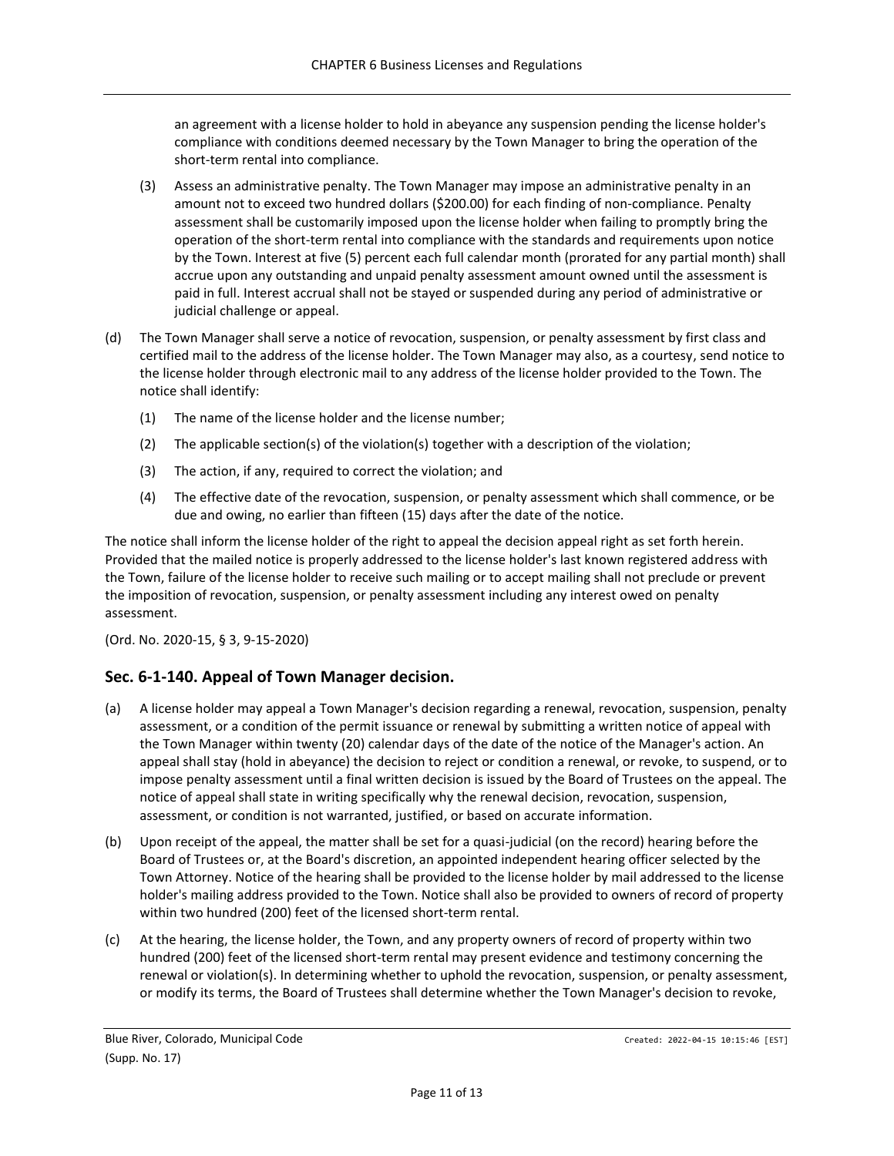an agreement with a license holder to hold in abeyance any suspension pending the license holder's compliance with conditions deemed necessary by the Town Manager to bring the operation of the short-term rental into compliance.

- (3) Assess an administrative penalty. The Town Manager may impose an administrative penalty in an amount not to exceed two hundred dollars (\$200.00) for each finding of non-compliance. Penalty assessment shall be customarily imposed upon the license holder when failing to promptly bring the operation of the short-term rental into compliance with the standards and requirements upon notice by the Town. Interest at five (5) percent each full calendar month (prorated for any partial month) shall accrue upon any outstanding and unpaid penalty assessment amount owned until the assessment is paid in full. Interest accrual shall not be stayed or suspended during any period of administrative or judicial challenge or appeal.
- (d) The Town Manager shall serve a notice of revocation, suspension, or penalty assessment by first class and certified mail to the address of the license holder. The Town Manager may also, as a courtesy, send notice to the license holder through electronic mail to any address of the license holder provided to the Town. The notice shall identify:
	- (1) The name of the license holder and the license number;
	- (2) The applicable section(s) of the violation(s) together with a description of the violation;
	- (3) The action, if any, required to correct the violation; and
	- (4) The effective date of the revocation, suspension, or penalty assessment which shall commence, or be due and owing, no earlier than fifteen (15) days after the date of the notice.

The notice shall inform the license holder of the right to appeal the decision appeal right as set forth herein. Provided that the mailed notice is properly addressed to the license holder's last known registered address with the Town, failure of the license holder to receive such mailing or to accept mailing shall not preclude or prevent the imposition of revocation, suspension, or penalty assessment including any interest owed on penalty assessment.

(Ord. No. 2020-15, § 3, 9-15-2020)

#### <span id="page-10-0"></span>**Sec. 6-1-140. Appeal of Town Manager decision.**

- (a) A license holder may appeal a Town Manager's decision regarding a renewal, revocation, suspension, penalty assessment, or a condition of the permit issuance or renewal by submitting a written notice of appeal with the Town Manager within twenty (20) calendar days of the date of the notice of the Manager's action. An appeal shall stay (hold in abeyance) the decision to reject or condition a renewal, or revoke, to suspend, or to impose penalty assessment until a final written decision is issued by the Board of Trustees on the appeal. The notice of appeal shall state in writing specifically why the renewal decision, revocation, suspension, assessment, or condition is not warranted, justified, or based on accurate information.
- (b) Upon receipt of the appeal, the matter shall be set for a quasi-judicial (on the record) hearing before the Board of Trustees or, at the Board's discretion, an appointed independent hearing officer selected by the Town Attorney. Notice of the hearing shall be provided to the license holder by mail addressed to the license holder's mailing address provided to the Town. Notice shall also be provided to owners of record of property within two hundred (200) feet of the licensed short-term rental.
- (c) At the hearing, the license holder, the Town, and any property owners of record of property within two hundred (200) feet of the licensed short-term rental may present evidence and testimony concerning the renewal or violation(s). In determining whether to uphold the revocation, suspension, or penalty assessment, or modify its terms, the Board of Trustees shall determine whether the Town Manager's decision to revoke,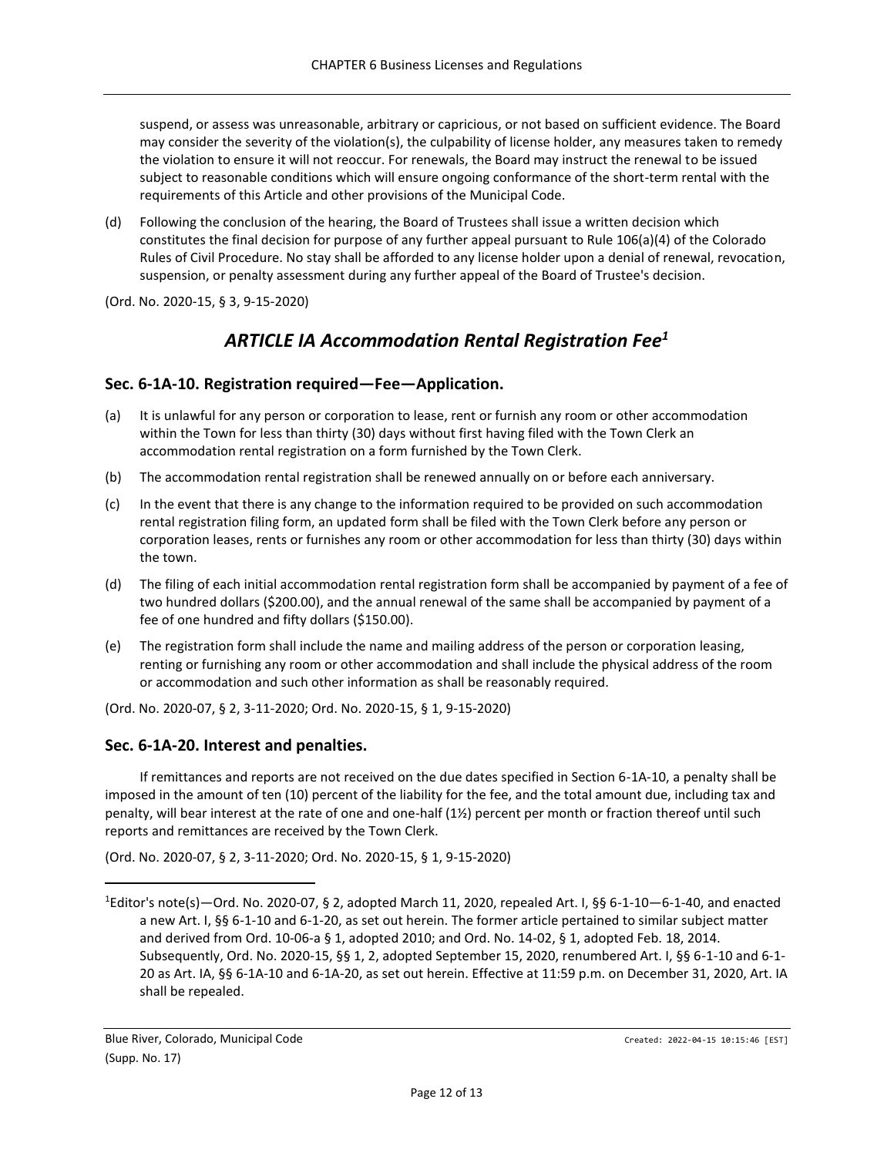suspend, or assess was unreasonable, arbitrary or capricious, or not based on sufficient evidence. The Board may consider the severity of the violation(s), the culpability of license holder, any measures taken to remedy the violation to ensure it will not reoccur. For renewals, the Board may instruct the renewal to be issued subject to reasonable conditions which will ensure ongoing conformance of the short-term rental with the requirements of this Article and other provisions of the Municipal Code.

(d) Following the conclusion of the hearing, the Board of Trustees shall issue a written decision which constitutes the final decision for purpose of any further appeal pursuant to Rule 106(a)(4) of the Colorado Rules of Civil Procedure. No stay shall be afforded to any license holder upon a denial of renewal, revocation, suspension, or penalty assessment during any further appeal of the Board of Trustee's decision.

<span id="page-11-0"></span>(Ord. No. 2020-15, § 3, 9-15-2020)

# *ARTICLE IA Accommodation Rental Registration Fee<sup>1</sup>*

## <span id="page-11-1"></span>**Sec. 6-1A-10. Registration required—Fee—Application.**

- (a) It is unlawful for any person or corporation to lease, rent or furnish any room or other accommodation within the Town for less than thirty (30) days without first having filed with the Town Clerk an accommodation rental registration on a form furnished by the Town Clerk.
- (b) The accommodation rental registration shall be renewed annually on or before each anniversary.
- (c) In the event that there is any change to the information required to be provided on such accommodation rental registration filing form, an updated form shall be filed with the Town Clerk before any person or corporation leases, rents or furnishes any room or other accommodation for less than thirty (30) days within the town.
- (d) The filing of each initial accommodation rental registration form shall be accompanied by payment of a fee of two hundred dollars (\$200.00), and the annual renewal of the same shall be accompanied by payment of a fee of one hundred and fifty dollars (\$150.00).
- (e) The registration form shall include the name and mailing address of the person or corporation leasing, renting or furnishing any room or other accommodation and shall include the physical address of the room or accommodation and such other information as shall be reasonably required.

(Ord. No. 2020-07, § 2, 3-11-2020; Ord. No. 2020-15, § 1, 9-15-2020)

## <span id="page-11-2"></span>**Sec. 6-1A-20. Interest and penalties.**

If remittances and reports are not received on the due dates specified in Section 6-1A-10, a penalty shall be imposed in the amount of ten (10) percent of the liability for the fee, and the total amount due, including tax and penalty, will bear interest at the rate of one and one-half  $(1\frac{1}{2})$  percent per month or fraction thereof until such reports and remittances are received by the Town Clerk.

(Ord. No. 2020-07, § 2, 3-11-2020; Ord. No. 2020-15, § 1, 9-15-2020)

 $1$ Editor's note(s)—Ord. No. 2020-07, § 2, adopted March 11, 2020, repealed Art. I, §§ 6-1-10—6-1-40, and enacted a new Art. I, §§ 6-1-10 and 6-1-20, as set out herein. The former article pertained to similar subject matter and derived from Ord. 10-06-a § 1, adopted 2010; and Ord. No. 14-02, § 1, adopted Feb. 18, 2014. Subsequently, Ord. No. 2020-15, §§ 1, 2, adopted September 15, 2020, renumbered Art. I, §§ 6-1-10 and 6-1- 20 as Art. IA, §§ 6-1A-10 and 6-1A-20, as set out herein. Effective at 11:59 p.m. on December 31, 2020, Art. IA shall be repealed.